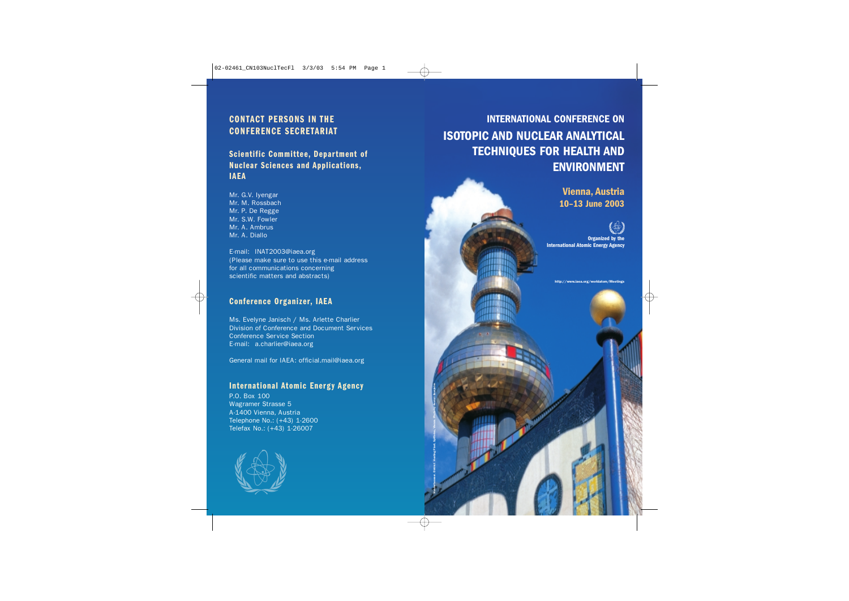## **CONTACT PERSONS IN THE CONFERENCE SECRETARIAT**

## **Scientific Committee, Department of Nuclear Sciences and Applications, IAEA**

Mr. G.V. Iyengar Mr. M. Rossbach Mr. P. De Regge Mr. S.W. Fowler Mr. A. Ambrus Mr. A. Diallo

E-mail: INAT2003@iaea.org (Please make sure to use this e-mail address for all communications concerning scientific matters and abstracts)

### **Conference Organizer, IAEA**

Ms. Evelyne Janisch / Ms. Arlette Charlier Division of Conference and Document Services Conference Service Section E-mail: a.charlier@iaea.org

General mail for IAEA: official.mail@iaea.org

## **International Atomic Energy Agency**

Hundertwasser. District Heating Plant. Spittelau, Vienna. Photo by Anatoli Bourykine

P.O. Box 100 Wagramer Strasse 5 A-1400 Vienna, Austria Telephone No.: (+43) 1-2600 Telefax No.: (+43) 1-26007



## **INTERNATIONAL CONFERENCE ON ISOTOPIC AND NUCLEAR ANALYTICAL TECHNIQUES FOR HEALTH AND ENVIRONMENT**

**Vienna, Austria 10–13 June 2003**



**Organized by the International Atomic Energy Agency**

http://www.iaea.org/worldatom/Meetings